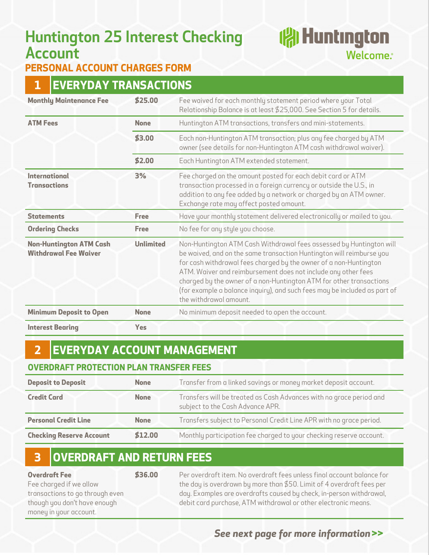# **Huntington 25 Interest Checking Account**

# **reduction** Welcome.<sup>®</sup>

### **PERSONAL ACCOUNT CHARGES FORM**

## **1 EVERYDAY TRANSACTIONS**

| <b>Monthly Maintenance Fee</b>                                 | \$25.00          | Fee waived for each monthly statement period where your Total<br>Relationship Balance is at least \$25,000. See Section 5 for details.                                                                                                                                                                                                                                                                                                                          |
|----------------------------------------------------------------|------------------|-----------------------------------------------------------------------------------------------------------------------------------------------------------------------------------------------------------------------------------------------------------------------------------------------------------------------------------------------------------------------------------------------------------------------------------------------------------------|
| <b>ATM Fees</b>                                                | <b>None</b>      | Huntington ATM transactions, transfers and mini-statements.                                                                                                                                                                                                                                                                                                                                                                                                     |
|                                                                | \$3.00           | Each non-Huntington ATM transaction; plus any fee charged by ATM<br>owner (see details for non-Huntington ATM cash withdrawal waiver).                                                                                                                                                                                                                                                                                                                          |
|                                                                | \$2.00           | Each Huntington ATM extended statement.                                                                                                                                                                                                                                                                                                                                                                                                                         |
| <b>International</b><br><b>Transactions</b>                    | 3%               | Fee charged on the amount posted for each debit card or ATM<br>transaction processed in a foreign currency or outside the U.S., in<br>addition to any fee added by a network or charged by an ATM owner.<br>Exchange rate may affect posted amount.                                                                                                                                                                                                             |
| <b>Statements</b>                                              | Free             | Have your monthly statement delivered electronically or mailed to you.                                                                                                                                                                                                                                                                                                                                                                                          |
| <b>Ordering Checks</b>                                         | <b>Free</b>      | No fee for any style you choose.                                                                                                                                                                                                                                                                                                                                                                                                                                |
| <b>Non-Huntington ATM Cash</b><br><b>Withdrawal Fee Waiver</b> | <b>Unlimited</b> | Non-Huntington ATM Cash Withdrawal fees assessed by Huntington will<br>be waived, and on the same transaction Huntington will reimburse you<br>for cash withdrawal fees charged by the owner of a non-Huntington<br>ATM. Waiver and reimbursement does not include any other fees<br>charged by the owner of a non-Huntington ATM for other transactions<br>(for example a balance inquiry), and such fees may be included as part of<br>the withdrawal amount. |
| <b>Minimum Deposit to Open</b>                                 | <b>None</b>      | No minimum deposit needed to open the account.                                                                                                                                                                                                                                                                                                                                                                                                                  |
| <b>Interest Bearing</b>                                        | Yes              |                                                                                                                                                                                                                                                                                                                                                                                                                                                                 |

# **2 EVERYDAY ACCOUNT MANAGEMENT**

#### **OVERDRAFT PROTECTION PLAN TRANSFER FEES**

| <b>Deposit to Deposit</b>       | <b>None</b> | Transfer from a linked savings or money market deposit account.                                         |
|---------------------------------|-------------|---------------------------------------------------------------------------------------------------------|
| <b>Credit Card</b>              | <b>None</b> | Transfers will be treated as Cash Advances with no grace period and<br>subject to the Cash Advance APR. |
| <b>Personal Credit Line</b>     | <b>None</b> | Transfers subject to Personal Credit Line APR with no grace period.                                     |
| <b>Checking Reserve Account</b> | \$12.00     | Monthly participation fee charged to your checking reserve account.                                     |

## **3 OVERDRAFT AND RETURN FEES**

**Overdraft Fee**  Fee charged if we allow transactions to go through even though you don't have enough money in your account.

**\$36.00** Per overdraft item. No overdraft fees unless final account balance for the day is overdrawn by more than \$50. Limit of 4 overdraft fees per day. Examples are overdrafts caused by check, in-person withdrawal, debit card purchase, ATM withdrawal or other electronic means.

### *See next page for more information* **>>**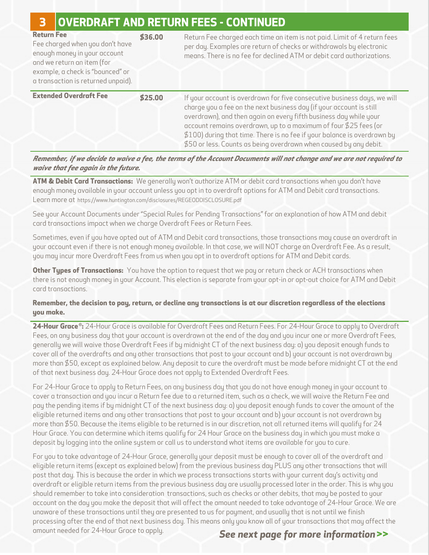## **3 OVERDRAFT AND RETURN FEES - CONTINUED**

| <b>Return Fee</b><br>Fee charged when you don't have<br>enough money in your account<br>and we return an item (for<br>example, a check is "bounced" or<br>a transaction is returned unpaid). | \$36.00 | Return Fee charged each time an item is not paid. Limit of 4 return fees<br>per day. Examples are return of checks or withdrawals by electronic<br>means. There is no fee for declined ATM or debit card authorizations.                                                                                                                                                                                                                  |
|----------------------------------------------------------------------------------------------------------------------------------------------------------------------------------------------|---------|-------------------------------------------------------------------------------------------------------------------------------------------------------------------------------------------------------------------------------------------------------------------------------------------------------------------------------------------------------------------------------------------------------------------------------------------|
| <b>Extended Overdraft Fee</b>                                                                                                                                                                | \$25.00 | If your account is overdrawn for five consecutive business days, we will<br>charge you a fee on the next business day (if your account is still<br>overdrawn), and then again on every fifth business day while your<br>account remains overdrawn, up to a maximum of four \$25 fees (or<br>\$100) during that time. There is no fee if your balance is overdrawn by<br>\$50 or less. Counts as being overdrawn when caused by any debit. |

*Remember, if we decide to waive a fee, the terms of the Account Documents will not change and we are not required to waive that fee again in the future.* 

**ATM & Debit Card Transactions:** We generally won't authorize ATM or debit card transactions when you don't have enough money available in your account unless you opt in to overdraft options for ATM and Debit card transactions. Learn more at [https://www.huntington.com/disclosures/REGEODDISCLOSURE.pd](https://www.huntington.com/disclosures/REGEODDISCLOSURE.pdf)f

See your Account Documents under "Special Rules for Pending Transactions" for an explanation of how ATM and debit card transactions impact when we charge Overdraft Fees or Return Fees.

Sometimes, even if you have opted out of ATM and Debit card transactions, those transactions may cause an overdraft in your account even if there is not enough money available. In that case, we will NOT charge an Overdraft Fee. As a result, you may incur more Overdraft Fees from us when you opt in to overdraft options for ATM and Debit cards.

**Other Types of Transactions:** You have the option to request that we pay or return check or ACH transactions when there is not enough money in your Account. This election is separate from your opt-in or opt-out choice for ATM and Debit card transactions.

#### **Remember, the decision to pay, return, or decline any transactions is at our discretion regardless of the elections you make.**

**24-Hour Grace ® :** 24-Hour Grace is available for Overdraft Fees and Return Fees. For 24-Hour Grace to apply to Overdraft Fees, on any business day that your account is overdrawn at the end of the day and you incur one or more Overdraft Fees, generally we will waive those Overdraft Fees if by midnight CT of the next business day: a) you deposit enough funds to cover all of the overdrafts and any other transactions that post to your account and b) your account is not overdrawn by more than \$50, except as explained below. Any deposit to cure the overdraft must be made before midnight CT at the end of that next business day. 24-Hour Grace does not apply to Extended Overdraft Fees.

For 24-Hour Grace to apply to Return Fees, on any business day that you do not have enough money in your account to cover a transaction and you incur a Return fee due to a returned item, such as a check, we will waive the Return Fee and pay the pending items if by midnight CT of the next business day: a) you deposit enough funds to cover the amount of the eligible returned items and any other transactions that post to your account and b) your account is not overdrawn by more than \$50. Because the items eligible to be returned is in our discretion, not all returned items will qualify for 24 Hour Grace. You can determine which items qualify for 24 Hour Grace on the business day in which you must make a deposit by logging into the online system or call us to understand what items are available for you to cure.

For you to take advantage of 24-Hour Grace, generally your deposit must be enough to cover all of the overdraft and eligible return items (except as explained below) from the previous business day PLUS any other transactions that will post that day. This is because the order in which we process transactions starts with your current day's activity and overdraft or eligible return items from the previous business day are usually processed later in the order. This is why you should remember to take into consideration transactions, such as checks or other debits, that may be posted to your account on the day you make the deposit that will affect the amount needed to take advantage of 24-Hour Grace. We are unaware of these transactions until they are presented to us for payment, and usually that is not until we finish processing after the end of that next business day. This means only you know all of your transactions that may affect the amount needed for 24-Hour Grace to apply.

#### *See next page for more information* **>>**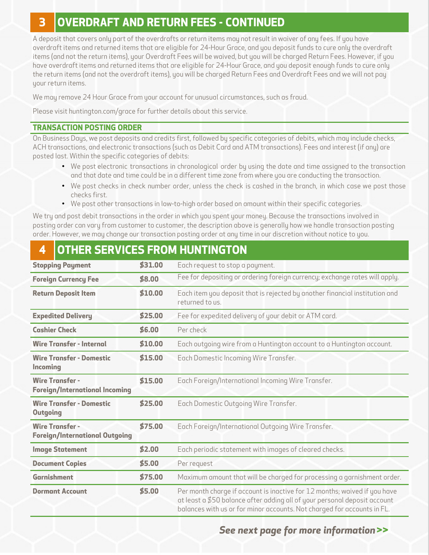# **3 OVERDRAFT AND RETURN FEES - CONTINUED**

A deposit that covers only part of the overdrafts or return items may not result in waiver of any fees. If you have overdraft items and returned items that are eligible for 24-Hour Grace, and you deposit funds to cure only the overdraft items (and not the return items), your Overdraft Fees will be waived, but you will be charged Return Fees. However, if you have overdraft items and returned items that are eligible for 24-Hour Grace, and you deposit enough funds to cure only the return items (and not the overdraft items), you will be charged Return Fees and Overdraft Fees and we will not pay your return items.

We may remove 24 Hour Grace from your account for unusual circumstances, such as fraud.

Please visit huntington.com/grace for further details about this service.

#### **TRANSACTION POSTING ORDER**

On Business Days, we post deposits and credits first, followed by specific categories of debits, which may include checks, ACH transactions, and electronic transactions (such as Debit Card and ATM transactions). Fees and interest (if any) are posted last. Within the specific categories of debits:

- We post electronic transactions in chronological order by using the date and time assigned to the transaction and that date and time could be in a different time zone from where you are conducting the transaction.
- We post checks in check number order, unless the check is cashed in the branch, in which case we post those checks first.
- We post other transactions in low-to-high order based on amount within their specific categories.

We try and post debit transactions in the order in which you spent your money. Because the transactions involved in posting order can vary from customer to customer, the description above is generally how we handle transaction posting order. However, we may change our transaction posting order at any time in our discretion without notice to you.

# **4 OTHER SERVICES FROM HUNTINGTON**

| <b>Stopping Payment</b>                                         | \$31.00 | Each request to stop a payment.                                                                                                                                                                                                   |
|-----------------------------------------------------------------|---------|-----------------------------------------------------------------------------------------------------------------------------------------------------------------------------------------------------------------------------------|
| <b>Foreign Currency Fee</b>                                     | \$8.00  | Fee for depositing or ordering foreign currency; exchange rates will apply.                                                                                                                                                       |
| <b>Return Deposit Item</b>                                      | \$10.00 | Each item you deposit that is rejected by another financial institution and<br>returned to us.                                                                                                                                    |
| <b>Expedited Delivery</b>                                       | \$25.00 | Fee for expedited delivery of your debit or ATM card.                                                                                                                                                                             |
| <b>Cashier Check</b>                                            | \$6.00  | Per check                                                                                                                                                                                                                         |
| <b>Wire Transfer - Internal</b>                                 | \$10.00 | Each outgoing wire from a Huntington account to a Huntington account.                                                                                                                                                             |
| <b>Wire Transfer - Domestic</b><br><b>Incoming</b>              | \$15.00 | Each Domestic Incoming Wire Transfer.                                                                                                                                                                                             |
| <b>Wire Transfer -</b><br><b>Foreign/International Incoming</b> | \$15.00 | Each Foreign/International Incoming Wire Transfer.                                                                                                                                                                                |
| <b>Wire Transfer - Domestic</b><br><b>Outgoing</b>              | \$25.00 | Each Domestic Outgoing Wire Transfer.                                                                                                                                                                                             |
| <b>Wire Transfer -</b><br><b>Foreign/International Outgoing</b> | \$75.00 | Each Foreign/International Outgoing Wire Transfer.                                                                                                                                                                                |
| <b>Image Statement</b>                                          | \$2.00  | Each periodic statement with images of cleared checks.                                                                                                                                                                            |
| <b>Document Copies</b>                                          | \$5.00  | Per request                                                                                                                                                                                                                       |
| <b>Garnishment</b>                                              | \$75.00 | Maximum amount that will be charged for processing a garnishment order.                                                                                                                                                           |
| <b>Dormant Account</b>                                          | \$5.00  | Per month charge if account is inactive for 12 months; waived if you have<br>at least a \$50 balance after adding all of your personal deposit account<br>balances with us or for minor accounts. Not charged for accounts in FL. |

### *See next page for more information* **>>**